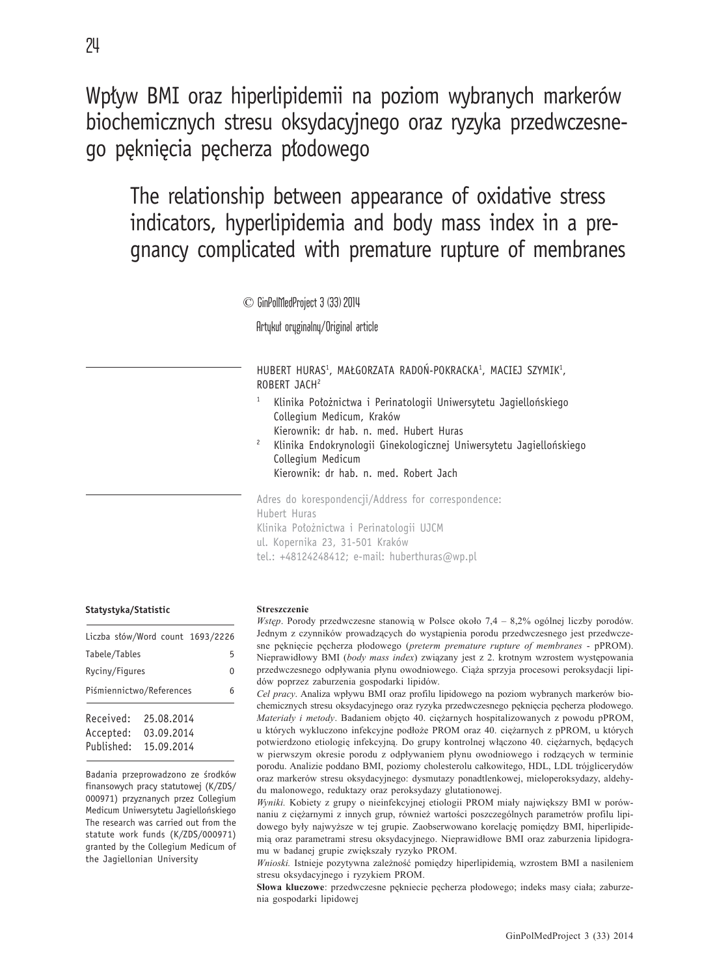Wpływ BMI oraz hiperlipidemii na poziom wybranych markerów biochemicznych stresu oksydacyjnego oraz ryzyka przedwczesnego pęknięcia pęcherza płodowego

# The relationship between appearance of oxidative stress indicators, hyperlipidemia and body mass index in a pregnancy complicated with premature rupture of membranes

© GinPolMedProject 3 (33) 2014

Artykuł oryginalny/Original article

HUBERT HURAS1, MAŁGORZATA RADON-POKRACKA1, MACIEJ SZYMIK1, ROBERT JACH2

- <sup>1</sup> Klinika Położnictwa i Perinatologii Uniwersytetu Jagiellońskiego Collegium Medicum, Kraków Kierownik: dr hab. n. med. Hubert Huras
- <sup>2</sup> Klinika Endokrynologii Ginekologicznej Uniwersytetu Jagiellońskiego Collegium Medicum Kierownik: dr hab. n. med. Robert Jach

Adres do korespondencji/Address for correspondence: Hubert Huras Klinika Położnictwa i Perinatologii UJCM ul. Kopernika 23, 31-501 Kraków tel.: +48124248412; e-mail: huberthuras@wp.pl

#### **Statystyka/Statistic**

| Liczba słów/Word count 1693/2226     |  |                                        |   |  |  |  |
|--------------------------------------|--|----------------------------------------|---|--|--|--|
| Tabele/Tables                        |  |                                        | 5 |  |  |  |
| Ryciny/Figures<br>U                  |  |                                        |   |  |  |  |
| Piśmiennictwo/References<br>6        |  |                                        |   |  |  |  |
| Received:<br>Accepted:<br>Published: |  | 25.08.2014<br>03.09.2014<br>15.09.2014 |   |  |  |  |

Badania przeprowadzono ze środków finansowych pracy statutowej (K/ZDS/ 000971) przyznanych przez Collegium Medicum Uniwersytetu Jagiellońskiego The research was carried out from the statute work funds (K/ZDS/000971) granted by the Collegium Medicum of the Jagiellonian University

#### **Streszczenie**

*Wstep.* Porody przedwczesne stanowią w Polsce około 7,4 – 8,2% ogólnej liczby porodów. Jednym z czynników prowadzących do wystąpienia porodu przedwczesnego jest przedwczesne pęknięcie pęcherza płodowego (*preterm premature rupture of membranes* - pPROM). Nieprawidłowy BMI (body mass index) związany jest z 2. krotnym wzrostem występowania przedwczesnego odpływania płynu owodniowego. Ciąża sprzyja procesowi peroksydacji lipidów poprzez zaburzenia gospodarki lipidów.

Cel pracy. Analiza wpływu BMI oraz profilu lipidowego na poziom wybranych markerów biochemicznych stresu oksydacyjnego oraz ryzyka przedwczesnego pęknięcia pęcherza płodowego. *Materiały i metody*. Badaniem objęto 40. ciężarnych hospitalizowanych z powodu pPROM, u których wykluczono infekcyjne podłoże PROM oraz 40. ciężarnych z pPROM, u których potwierdzono etiologię infekcyjną. Do grupy kontrolnej włączono 40. ciężarnych, będących w pierwszym okresie porodu z odpływaniem płynu owodniowego i rodzących w terminie porodu. Analizie poddano BMI, poziomy cholesterolu ca³kowitego, HDL, LDL trójglicerydów oraz markerów stresu oksydacyjnego: dysmutazy ponadtlenkowej, mieloperoksydazy, aldehydu malonowego, reduktazy oraz peroksydazy glutationowej.

*Wyniki.* Kobiety z grupy o nieinfekcyjnej etiologii PROM miały największy BMI w porównaniu z ciężarnymi z innych grup, również wartości poszczególnych parametrów profilu lipidowego były najwyższe w tej grupie. Zaobserwowano korelację pomiędzy BMI, hiperlipidemią oraz parametrami stresu oksydacyjnego. Nieprawidłowe BMI oraz zaburzenia lipidogramu w badanej grupie zwiększały ryzyko PROM.

*Wnioski*. Istnieje pozytywna zależność pomiędzy hiperlipidemią, wzrostem BMI a nasileniem stresu oksydacyjnego i ryzykiem PROM.

Słowa kluczowe: przedwczesne pękniecie pęcherza płodowego; indeks masy ciała; zaburzenia gospodarki lipidowej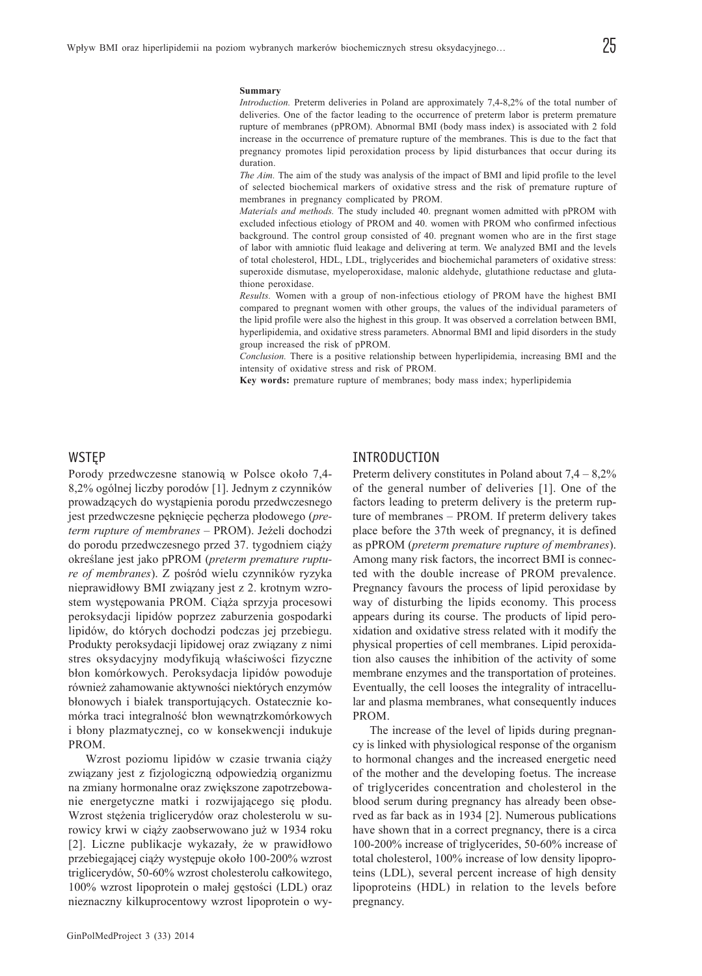*Introduction.* Preterm deliveries in Poland are approximately 7,4-8,2% of the total number of deliveries. One of the factor leading to the occurrence of preterm labor is preterm premature rupture of membranes (pPROM). Abnormal BMI (body mass index) is associated with 2 fold increase in the occurrence of premature rupture of the membranes. This is due to the fact that pregnancy promotes lipid peroxidation process by lipid disturbances that occur during its duration.

*The Aim.* The aim of the study was analysis of the impact of BMI and lipid profile to the level of selected biochemical markers of oxidative stress and the risk of premature rupture of membranes in pregnancy complicated by PROM.

*Materials and methods.* The study included 40. pregnant women admitted with pPROM with excluded infectious etiology of PROM and 40. women with PROM who confirmed infectious background. The control group consisted of 40. pregnant women who are in the first stage of labor with amniotic fluid leakage and delivering at term. We analyzed BMI and the levels of total cholesterol, HDL, LDL, triglycerides and biochemichal parameters of oxidative stress: superoxide dismutase, myeloperoxidase, malonic aldehyde, glutathione reductase and glutathione peroxidase.

*Results.* Women with a group of non-infectious etiology of PROM have the highest BMI compared to pregnant women with other groups, the values of the individual parameters of the lipid profile were also the highest in this group. It was observed a correlation between BMI, hyperlipidemia, and oxidative stress parameters. Abnormal BMI and lipid disorders in the study group increased the risk of pPROM.

*Conclusion.* There is a positive relationship between hyperlipidemia, increasing BMI and the intensity of oxidative stress and risk of PROM.

**Key words:** premature rupture of membranes; body mass index; hyperlipidemia

#### WSTĘP

Porody przedwczesne stanowią w Polsce około 7,4-8,2% ogólnej liczby porodów [1]. Jednym z czynników prowadzących do wystąpienia porodu przedwczesnego jest przedwczesne pęknięcie pęcherza płodowego (*preterm rupture of membranes* – PROM). Je¿eli dochodzi do porodu przedwczesnego przed 37. tygodniem ciąży określane jest jako pPROM (preterm premature rupture of membranes). Z pośród wielu czynników ryzyka nieprawidłowy BMI związany jest z 2. krotnym wzrostem występowania PROM. Ciąża sprzyja procesowi peroksydacji lipidów poprzez zaburzenia gospodarki lipidów, do których dochodzi podczas jej przebiegu. Produkty peroksydacji lipidowej oraz związany z nimi stres oksydacyjny modyfikują właściwości fizyczne błon komórkowych. Peroksydacja lipidów powoduje również zahamowanie aktywności niektórych enzymów błonowych i białek transportujących. Ostatecznie komórka traci integralność błon wewnątrzkomórkowych i błony plazmatycznej, co w konsekwencji indukuje PROM.

Wzrost poziomu lipidów w czasie trwania ciąży związany jest z fizjologiczną odpowiedzią organizmu na zmiany hormonalne oraz zwiêkszone zapotrzebowanie energetyczne matki i rozwijającego się płodu. Wzrost stężenia triglicerydów oraz cholesterolu w surowicy krwi w ciąży zaobserwowano już w 1934 roku [2]. Liczne publikacje wykazały, że w prawidłowo przebiegającej ciąży występuje około 100-200% wzrost triglicerydów, 50-60% wzrost cholesterolu całkowitego, 100% wzrost lipoprotein o małej gęstości (LDL) oraz nieznaczny kilkuprocentowy wzrost lipoprotein o wy-

#### INTRODUCTION

Preterm delivery constitutes in Poland about  $7.4 - 8.2\%$ of the general number of deliveries [1]. One of the factors leading to preterm delivery is the preterm rupture of membranes – PROM. If preterm delivery takes place before the 37th week of pregnancy, it is defined as pPROM (*preterm premature rupture of membranes*). Among many risk factors, the incorrect BMI is connected with the double increase of PROM prevalence. Pregnancy favours the process of lipid peroxidase by way of disturbing the lipids economy. This process appears during its course. The products of lipid peroxidation and oxidative stress related with it modify the physical properties of cell membranes. Lipid peroxidation also causes the inhibition of the activity of some membrane enzymes and the transportation of proteines. Eventually, the cell looses the integrality of intracellular and plasma membranes, what consequently induces PROM.

The increase of the level of lipids during pregnancy is linked with physiological response of the organism to hormonal changes and the increased energetic need of the mother and the developing foetus. The increase of triglycerides concentration and cholesterol in the blood serum during pregnancy has already been observed as far back as in 1934 [2]. Numerous publications have shown that in a correct pregnancy, there is a circa 100-200% increase of triglycerides, 50-60% increase of total cholesterol, 100% increase of low density lipoproteins (LDL), several percent increase of high density lipoproteins (HDL) in relation to the levels before pregnancy.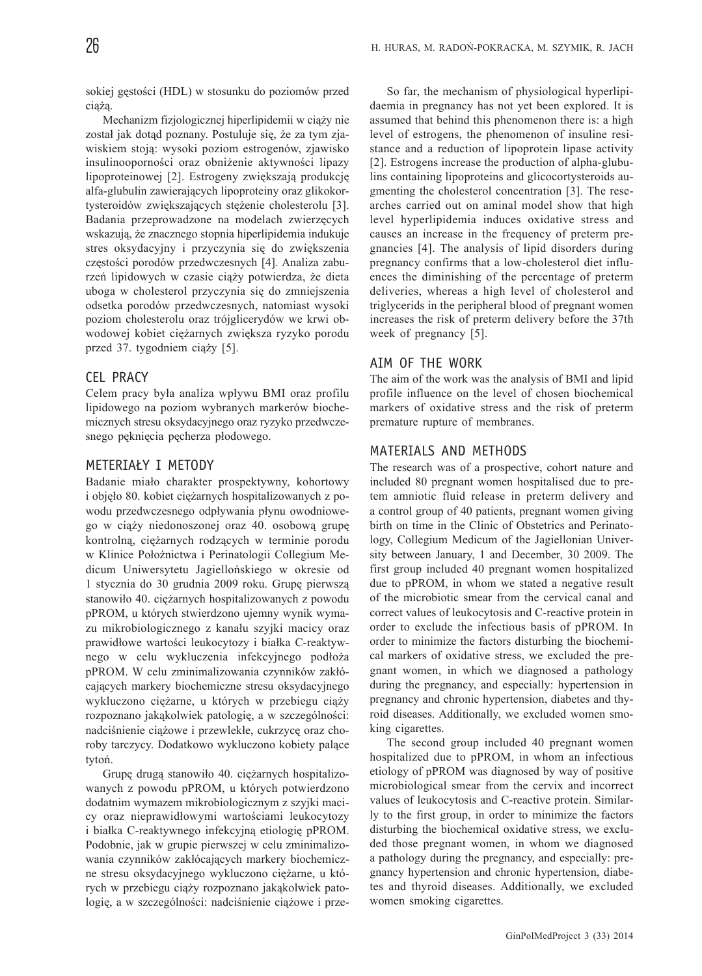sokiej gęstości (HDL) w stosunku do poziomów przed ciążą.

Mechanizm fizjologicznej hiperlipidemii w ciąży nie został jak dotąd poznany. Postuluje się, że za tym zjawiskiem stoją: wysoki poziom estrogenów, zjawisko insulinooporności oraz obniżenie aktywności lipazy lipoproteinowej [2]. Estrogeny zwiększają produkcję alfa-glubulin zawierających lipoproteiny oraz glikokortysteroidów zwiększających stężenie cholesterolu [3]. Badania przeprowadzone na modelach zwierzęcych wskazują, że znacznego stopnia hiperlipidemia indukuje stres oksydacyjny i przyczynia się do zwiększenia częstości porodów przedwczesnych [4]. Analiza zaburzeń lipidowych w czasie ciaży potwierdza, że dieta uboga w cholesterol przyczynia siê do zmniejszenia odsetka porodów przedwczesnych, natomiast wysoki poziom cholesterolu oraz trójglicerydów we krwi obwodowej kobiet ciężarnych zwiększa ryzyko porodu przed 37. tygodniem ciąży [5].

# CEL PRACY

Celem pracy była analiza wpływu BMI oraz profilu lipidowego na poziom wybranych markerów biochemicznych stresu oksydacyjnego oraz ryzyko przedwczesnego peknięcia pęcherza płodowego.

### METERIAŁY I METODY

Badanie miało charakter prospektywny, kohortowy i objęło 80. kobiet ciężarnych hospitalizowanych z powodu przedwczesnego odpływania płynu owodniowego w ciąży niedonoszonej oraz 40. osobową grupę kontrolną, ciężarnych rodzących w terminie porodu w Klinice Położnictwa i Perinatologii Collegium Medicum Uniwersytetu Jagielloñskiego w okresie od 1 stycznia do 30 grudnia 2009 roku. Grupę pierwszą stanowiło 40. ciężarnych hospitalizowanych z powodu pPROM, u których stwierdzono ujemny wynik wymazu mikrobiologicznego z kanału szyjki macicy oraz prawidłowe wartości leukocytozy i białka C-reaktywnego w celu wykluczenia infekcyjnego podłoża pPROM. W celu zminimalizowania czynników zakłócających markery biochemiczne stresu oksydacyjnego wykluczono ciężarne, u których w przebiegu ciąży rozpoznano jakakolwiek patologie, a w szczególności: nadciśnienie ciążowe i przewlekłe, cukrzyce oraz choroby tarczycy. Dodatkowo wykluczono kobiety palące tytoñ.

Grupę drugą stanowiło 40. ciężarnych hospitalizowanych z powodu pPROM, u których potwierdzono dodatnim wymazem mikrobiologicznym z szyjki macicy oraz nieprawidłowymi wartościami leukocytozy i białka C-reaktywnego infekcyjną etiologię pPROM. Podobnie, jak w grupie pierwszej w celu zminimalizowania czynników zakłócających markery biochemiczne stresu oksydacyjnego wykluczono ciężarne, u których w przebiegu ciąży rozpoznano jakąkolwiek patologię, a w szczególności: nadciśnienie ciążowe i prze-

So far, the mechanism of physiological hyperlipidaemia in pregnancy has not yet been explored. It is assumed that behind this phenomenon there is: a high level of estrogens, the phenomenon of insuline resistance and a reduction of lipoprotein lipase activity [2]. Estrogens increase the production of alpha-glubulins containing lipoproteins and glicocortysteroids augmenting the cholesterol concentration [3]. The researches carried out on aminal model show that high level hyperlipidemia induces oxidative stress and causes an increase in the frequency of preterm pregnancies [4]. The analysis of lipid disorders during pregnancy confirms that a low-cholesterol diet influences the diminishing of the percentage of preterm deliveries, whereas a high level of cholesterol and triglycerids in the peripheral blood of pregnant women increases the risk of preterm delivery before the 37th week of pregnancy [5].

# AIM OF THE WORK

The aim of the work was the analysis of BMI and lipid profile influence on the level of chosen biochemical markers of oxidative stress and the risk of preterm premature rupture of membranes.

### MATERIALS AND METHODS

The research was of a prospective, cohort nature and included 80 pregnant women hospitalised due to pretem amniotic fluid release in preterm delivery and a control group of 40 patients, pregnant women giving birth on time in the Clinic of Obstetrics and Perinatology, Collegium Medicum of the Jagiellonian University between January, 1 and December, 30 2009. The first group included 40 pregnant women hospitalized due to pPROM, in whom we stated a negative result of the microbiotic smear from the cervical canal and correct values of leukocytosis and C-reactive protein in order to exclude the infectious basis of pPROM. In order to minimize the factors disturbing the biochemical markers of oxidative stress, we excluded the pregnant women, in which we diagnosed a pathology during the pregnancy, and especially: hypertension in pregnancy and chronic hypertension, diabetes and thyroid diseases. Additionally, we excluded women smoking cigarettes.

The second group included 40 pregnant women hospitalized due to pPROM, in whom an infectious etiology of pPROM was diagnosed by way of positive microbiological smear from the cervix and incorrect values of leukocytosis and C-reactive protein. Similarly to the first group, in order to minimize the factors disturbing the biochemical oxidative stress, we excluded those pregnant women, in whom we diagnosed a pathology during the pregnancy, and especially: pregnancy hypertension and chronic hypertension, diabetes and thyroid diseases. Additionally, we excluded women smoking cigarettes.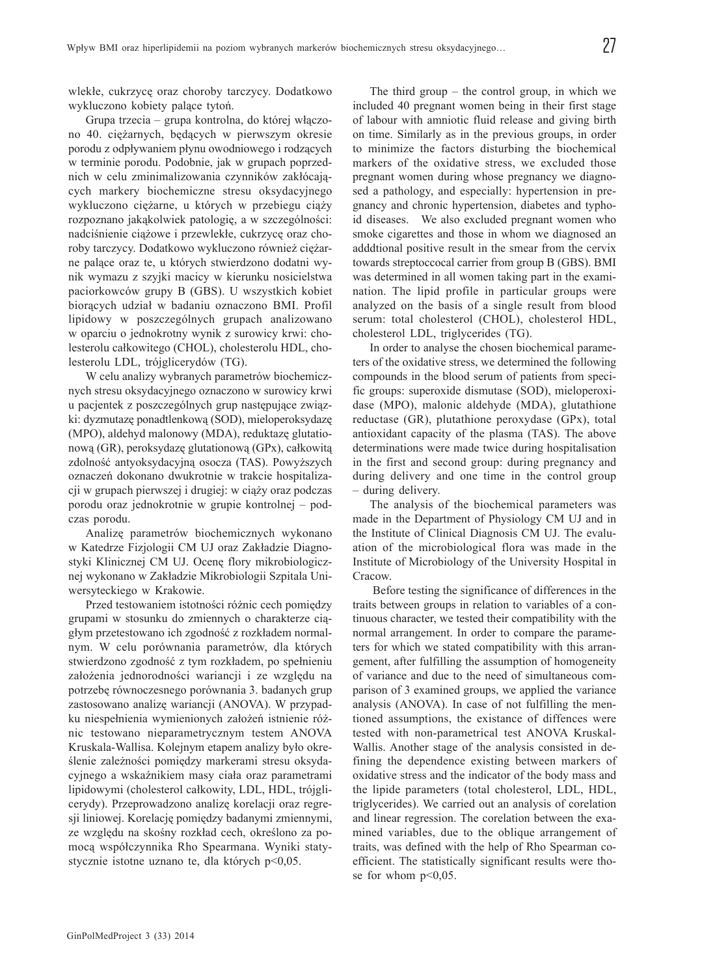wlekłe, cukrzyce oraz choroby tarczycy. Dodatkowo wykluczono kobiety palące tytoń.

Grupa trzecia – grupa kontrolna, do której włączono 40. ciężarnych, będących w pierwszym okresie porodu z odpływaniem płynu owodniowego i rodzących w terminie porodu. Podobnie, jak w grupach poprzednich w celu zminimalizowania czynników zakłócających markery biochemiczne stresu oksydacyjnego wykluczono ciężarne, u których w przebiegu ciąży rozpoznano jakakolwiek patologie, a w szczególności: nadciśnienie ciążowe i przewlekłe, cukrzycę oraz choroby tarczycy. Dodatkowo wykluczono również ciężarne palące oraz te, u których stwierdzono dodatni wynik wymazu z szyjki macicy w kierunku nosicielstwa paciorkowców grupy B (GBS). U wszystkich kobiet biorących udział w badaniu oznaczono BMI. Profil lipidowy w poszczególnych grupach analizowano w oparciu o jednokrotny wynik z surowicy krwi: cholesterolu całkowitego (CHOL), cholesterolu HDL, cholesterolu LDL, trójglicerydów (TG).

W celu analizy wybranych parametrów biochemicznych stresu oksydacyjnego oznaczono w surowicy krwi u pacjentek z poszczególnych grup następujące związki: dyzmutazę ponadtlenkową (SOD), mieloperoksydazę (MPO), aldehyd malonowy (MDA), reduktazę glutationową (GR), peroksydazę glutationową (GPx), całkowitą zdolność antyoksydacyjną osocza (TAS). Powyższych oznaczeñ dokonano dwukrotnie w trakcie hospitalizacji w grupach pierwszej i drugiej: w ciąży oraz podczas porodu oraz jednokrotnie w grupie kontrolnej – podczas porodu.

Analizê parametrów biochemicznych wykonano w Katedrze Fizjologii CM UJ oraz Zakładzie Diagnostyki Klinicznej CM UJ. Ocenę flory mikrobiologicznej wykonano w Zakładzie Mikrobiologii Szpitala Uniwersyteckiego w Krakowie.

Przed testowaniem istotności różnic cech pomiędzy grupami w stosunku do zmiennych o charakterze ciągłym przetestowano ich zgodność z rozkładem normalnym. W celu porównania parametrów, dla których stwierdzono zgodność z tym rozkładem, po spełnieniu założenia jednorodności wariancji i ze względu na potrzebê równoczesnego porównania 3. badanych grup zastosowano analizê wariancji (ANOVA). W przypadku niespełnienia wymienionych założeń istnienie różnic testowano nieparametrycznym testem ANOVA Kruskala-Wallisa. Kolejnym etapem analizy było określenie zależności pomiędzy markerami stresu oksydacyjnego a wskaźnikiem masy ciała oraz parametrami lipidowymi (cholesterol całkowity, LDL, HDL, trójglicerydy). Przeprowadzono analizê korelacji oraz regresji liniowej. Korelację pomiędzy badanymi zmiennymi, ze względu na skośny rozkład cech, określono za pomocą współczynnika Rho Spearmana. Wyniki statystycznie istotne uznano te, dla których p<0,05.

The third group – the control group, in which we included 40 pregnant women being in their first stage of labour with amniotic fluid release and giving birth on time. Similarly as in the previous groups, in order to minimize the factors disturbing the biochemical markers of the oxidative stress, we excluded those pregnant women during whose pregnancy we diagnosed a pathology, and especially: hypertension in pregnancy and chronic hypertension, diabetes and typhoid diseases. We also excluded pregnant women who smoke cigarettes and those in whom we diagnosed an adddtional positive result in the smear from the cervix towards streptoccocal carrier from group B (GBS). BMI was determined in all women taking part in the examination. The lipid profile in particular groups were analyzed on the basis of a single result from blood serum: total cholesterol (CHOL), cholesterol HDL, cholesterol LDL, triglycerides (TG).

In order to analyse the chosen biochemical parameters of the oxidative stress, we determined the following compounds in the blood serum of patients from specific groups: superoxide dismutase (SOD), mieloperoxidase (MPO), malonic aldehyde (MDA), glutathione reductase (GR), plutathione peroxydase (GPx), total antioxidant capacity of the plasma (TAS). The above determinations were made twice during hospitalisation in the first and second group: during pregnancy and during delivery and one time in the control group – during delivery.

The analysis of the biochemical parameters was made in the Department of Physiology CM UJ and in the Institute of Clinical Diagnosis CM UJ. The evaluation of the microbiological flora was made in the Institute of Microbiology of the University Hospital in Cracow.

 Before testing the significance of differences in the traits between groups in relation to variables of a continuous character, we tested their compatibility with the normal arrangement. In order to compare the parameters for which we stated compatibility with this arrangement, after fulfilling the assumption of homogeneity of variance and due to the need of simultaneous comparison of 3 examined groups, we applied the variance analysis (ANOVA). In case of not fulfilling the mentioned assumptions, the existance of diffences were tested with non-parametrical test ANOVA Kruskal-Wallis. Another stage of the analysis consisted in defining the dependence existing between markers of oxidative stress and the indicator of the body mass and the lipide parameters (total cholesterol, LDL, HDL, triglycerides). We carried out an analysis of corelation and linear regression. The corelation between the examined variables, due to the oblique arrangement of traits, was defined with the help of Rho Spearman coefficient. The statistically significant results were those for whom  $p<0.05$ .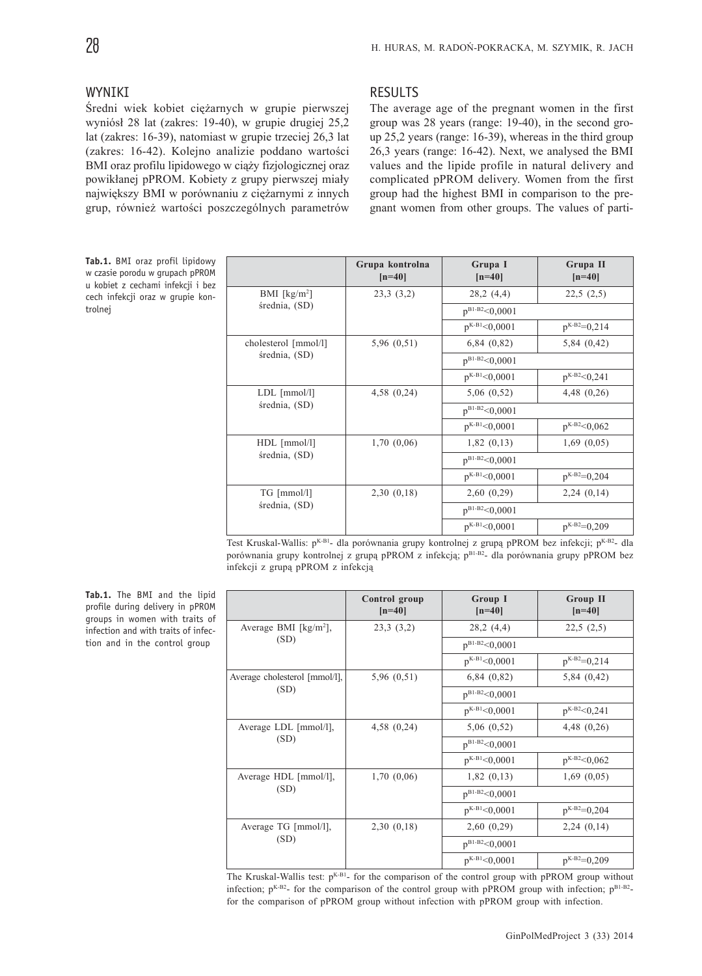# **WYNTKT**

Średni wiek kobiet ciężarnych w grupie pierwszej wyniósł 28 lat (zakres: 19-40), w grupie drugiej 25,2 lat (zakres: 16-39), natomiast w grupie trzeciej 26,3 lat (zakres: 16-42). Kolejno analizie poddano wartości BMI oraz profilu lipidowego w ciąży fizjologicznej oraz powikłanej pPROM. Kobiety z grupy pierwszej miały największy BMI w porównaniu z ciężarnymi z innych grup, również wartości poszczególnych parametrów

# **RESULTS**

The average age of the pregnant women in the first group was 28 years (range: 19-40), in the second group 25,2 years (range: 16-39), whereas in the third group 26,3 years (range: 16-42). Next, we analysed the BMI values and the lipide profile in natural delivery and complicated pPROM delivery. Women from the first group had the highest BMI in comparison to the pregnant women from other groups. The values of parti-

**Tab.1.** BMI oraz profil lipidowy w czasie porodu w grupach pPROM u kobiet z cechami infekcji i bez cech infekcji oraz w grupie kontrolnej

|                      | Grupa kontrolna<br>$[n=40]$ | Grupa I<br>$[n=40]$  | Grupa II<br>$[n=40]$ |  |
|----------------------|-----------------------------|----------------------|----------------------|--|
| BMI $[kg/m2]$        | 23,3(3,2)                   | 28,2(4,4)            | 22,5(2,5)            |  |
| średnia, (SD)        |                             | $p^{B1-B2}<0,0001$   |                      |  |
|                      |                             | $p^{K-B1} < 0,0001$  | $p^{K-B2}=0,214$     |  |
| cholesterol [mmol/l] | 5,96(0,51)                  | $6,84$ $(0,82)$      | 5,84(0,42)           |  |
| średnia, (SD)        |                             | $p^{B1-B2} < 0,0001$ |                      |  |
|                      |                             | $p^{K-B1} < 0,0001$  | $p^{K-B2} < 0,241$   |  |
| $LDL$ [mmol/l]       | $4,58$ $(0,24)$             | 5,06(0,52)           | $4,48$ $(0,26)$      |  |
| średnia, (SD)        |                             | $p^{B1-B2} < 0,0001$ |                      |  |
|                      |                             | $p^{K-B1} < 0,0001$  | $p^{K-B2} < 0.062$   |  |
| $HDL$ [mmol/l]       | 1,70(0,06)                  | 1,82(0,13)           | 1,69(0,05)           |  |
| średnia, (SD)        |                             | $p^{B1-B2} < 0,0001$ |                      |  |
|                      |                             | $p^{K-B1} < 0,0001$  | $p^{K-B2}=0,204$     |  |
| TG [mmol/l]          | 2,30(0,18)                  | 2,60(0,29)           | 2,24(0,14)           |  |
| średnia, (SD)        |                             | $p^{B1-B2} < 0,0001$ |                      |  |
|                      |                             | $p^{K-B1} < 0.0001$  | $p^{K-B2}=0,209$     |  |

Test Kruskal-Wallis: p<sup>K-B1</sup>- dla porównania grupy kontrolnej z grupą pPROM bez infekcji; p<sup>K-B2</sup>- dla porównania grupy kontrolnej z grupą pPROM z infekcją; pB1-B2- dla porównania grupy pPROM bez infekcji z grupą pPROM z infekcją

| Tab.1. The BMI and the lipid        |  |  |  |
|-------------------------------------|--|--|--|
| profile during delivery in pPROM    |  |  |  |
| groups in women with traits of      |  |  |  |
| infection and with traits of infec- |  |  |  |
| tion and in the control group       |  |  |  |

|                                             | Control group<br>$[n=40]$ | Group I<br>$[n=40]$  | <b>Group II</b><br>$[n=40]$ |  |
|---------------------------------------------|---------------------------|----------------------|-----------------------------|--|
| Average BMI $\lceil \text{kg/m}^2 \rceil$ , | 23,3(3,2)                 | 28,2(4,4)            | 22,5(2,5)                   |  |
| (SD)                                        |                           | $p^{B1-B2} < 0,0001$ |                             |  |
|                                             |                           | $p^{K-B1} < 0.0001$  | $p^{K-B2}=0,214$            |  |
| Average cholesterol [mmol/l],               | 5,96(0,51)                | $6,84$ $(0,82)$      | 5,84(0,42)                  |  |
| (SD)                                        |                           | $p^{B1-B2} < 0.0001$ |                             |  |
|                                             |                           | $p^{K-B1} < 0,0001$  | $p^{K-B2} < 0,241$          |  |
| Average LDL [mmol/l],                       | $4,58$ $(0,24)$           | 5,06(0,52)           | $4,48$ $(0,26)$             |  |
| (SD)                                        |                           | $p^{B1-B2} < 0,0001$ |                             |  |
|                                             |                           | $p^{K-B1} < 0,0001$  | $p^{K-B2} < 0.062$          |  |
| Average HDL [mmol/l],                       | 1,70(0,06)                | 1,82(0,13)           | 1,69(0,05)                  |  |
| (SD)                                        |                           | $p^{B1-B2} < 0,0001$ |                             |  |
|                                             |                           | $p^{K-B1} < 0,0001$  | $p^{K-B2}=0,204$            |  |
| Average TG [mmol/l],                        | 2,30(0,18)                | 2,60(0,29)           | 2,24(0,14)                  |  |
| (SD)                                        |                           | $p^{B1-B2}<0,0001$   |                             |  |
|                                             |                           | $p^{K-B1} < 0.0001$  | $p^{K-B2}=0,209$            |  |

The Kruskal-Wallis test:  $p^{K-B1}$ - for the comparison of the control group with pPROM group without infection;  $p^{K-B2}$ - for the comparison of the control group with pPROM group with infection;  $p^{B1-B2}$ for the comparison of pPROM group without infection with pPROM group with infection.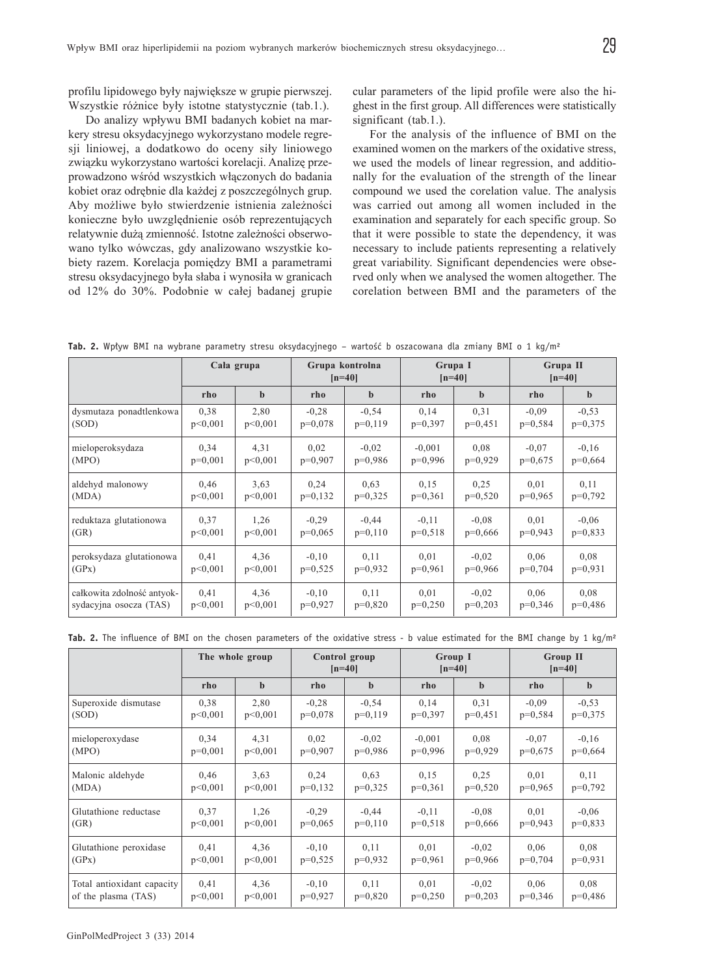profilu lipidowego były największe w grupie pierwszej. Wszystkie różnice były istotne statystycznie (tab.1.).

Do analizy wpływu BMI badanych kobiet na markery stresu oksydacyjnego wykorzystano modele regresji liniowej, a dodatkowo do oceny siły liniowego związku wykorzystano wartości korelacji. Analizę przeprowadzono wśród wszystkich włączonych do badania kobiet oraz odrębnie dla każdej z poszczególnych grup. Aby możliwe było stwierdzenie istnienia zależności konieczne było uwzględnienie osób reprezentujących relatywnie dużą zmienność. Istotne zależności obserwowano tylko wówczas, gdy analizowano wszystkie kobiety razem. Korelacja pomiędzy BMI a parametrami stresu oksydacyjnego była słaba i wynosiła w granicach od 12% do 30%. Podobnie w całej badanej grupie

cular parameters of the lipid profile were also the highest in the first group. All differences were statistically significant (tab.1.).

For the analysis of the influence of BMI on the examined women on the markers of the oxidative stress, we used the models of linear regression, and additionally for the evaluation of the strength of the linear compound we used the corelation value. The analysis was carried out among all women included in the examination and separately for each specific group. So that it were possible to state the dependency, it was necessary to include patients representing a relatively great variability. Significant dependencies were observed only when we analysed the women altogether. The corelation between BMI and the parameters of the

**Tab. 2.** Wpływ BMI na wybrane parametry stresu oksydacyjnego – wartość b oszacowana dla zmiany BMI o 1 kg/m²

|                            | Cala grupa |             | Grupa kontrolna<br>$[n=40]$ |             | Grupa I<br>$[n=40]$ |             | Grupa II<br>$[n=40]$ |             |
|----------------------------|------------|-------------|-----------------------------|-------------|---------------------|-------------|----------------------|-------------|
|                            | rho        | $\mathbf b$ | rho                         | $\mathbf b$ | rho                 | $\mathbf b$ | rho                  | $\mathbf b$ |
| dysmutaza ponadtlenkowa    | 0,38       | 2,80        | $-0.28$                     | $-0,54$     | 0,14                | 0,31        | $-0.09$              | $-0.53$     |
| (SOD)                      | p<0.001    | p<0,001     | $p=0,078$                   | $p=0,119$   | $p=0.397$           | $p=0,451$   | $p=0,584$            | $p=0,375$   |
| mieloperoksydaza           | 0,34       | 4,31        | 0,02                        | $-0.02$     | $-0,001$            | 0.08        | $-0.07$              | $-0,16$     |
| (MPO)                      | $p=0,001$  | p<0,001     | $p=0,907$                   | $p=0,986$   | $p=0,996$           | $p=0,929$   | $p=0,675$            | $p=0,664$   |
| aldehyd malonowy           | 0,46       | 3.63        | 0.24                        | 0.63        | 0.15                | 0.25        | 0,01                 | 0,11        |
| (MDA)                      | p<0.001    | p<0.001     | $p=0,132$                   | $p=0,325$   | $p=0,361$           | $p=0,520$   | $p=0,965$            | $p=0,792$   |
| reduktaza glutationowa     | 0.37       | 1,26        | $-0.29$                     | $-0.44$     | $-0.11$             | $-0.08$     | 0,01                 | $-0.06$     |
| (GR)                       | p<0.001    | p<0.001     | $p=0.065$                   | $p=0,110$   | $p=0,518$           | $p=0,666$   | $p=0.943$            | $p=0,833$   |
| peroksydaza glutationowa   | 0,41       | 4,36        | $-0,10$                     | 0,11        | 0,01                | $-0.02$     | 0,06                 | 0,08        |
| (GPx)                      | p<0,001    | p<0,001     | $p=0,525$                   | $p=0.932$   | $p=0,961$           | $p=0,966$   | $p=0,704$            | $p=0.931$   |
| całkowita zdolność antyok- | 0,41       | 4,36        | $-0,10$                     | 0,11        | 0,01                | $-0.02$     | 0.06                 | 0.08        |
| sydacyjna osocza (TAS)     | p<0,001    | p<0,001     | $p=0,927$                   | $p=0,820$   | $p=0,250$           | $p=0,203$   | $p=0,346$            | $p=0,486$   |

**Tab. 2.** The influence of BMI on the chosen parameters of the oxidative stress - b value estimated for the BMI change by 1 kg/m²

|                            | The whole group |             | Control group<br>$[n=40]$ |             | Group I<br>$[n=40]$ |           | <b>Group II</b><br>$[n=40]$ |             |
|----------------------------|-----------------|-------------|---------------------------|-------------|---------------------|-----------|-----------------------------|-------------|
|                            | rho             | $\mathbf b$ | rho                       | $\mathbf b$ | rho                 | h         | rho                         | $\mathbf b$ |
| Superoxide dismutase       | 0.38            | 2,80        | $-0,28$                   | $-0.54$     | 0,14                | 0,31      | $-0,09$                     | $-0.53$     |
| (SOD)                      | p<0.001         | p<0,001     | $p=0,078$                 | $p=0,119$   | $p=0,397$           | $p=0,451$ | $p=0,584$                   | $p=0,375$   |
| mieloperoxydase            | 0.34            | 4,31        | 0.02                      | $-0.02$     | $-0,001$            | 0.08      | $-0.07$                     | $-0.16$     |
| (MPO)                      | $p=0,001$       | p<0,001     | $p=0,907$                 | $p=0,986$   | $p=0,996$           | $p=0,929$ | $p=0,675$                   | $p=0,664$   |
| Malonic aldehyde           | 0,46            | 3.63        | 0,24                      | 0.63        | 0.15                | 0.25      | 0,01                        | 0,11        |
| (MDA)                      | p<0.001         | p<0,001     | $p=0,132$                 | $p=0,325$   | $p=0,361$           | $p=0,520$ | $p=0.965$                   | $p=0,792$   |
| Glutathione reductase      | 0.37            | 1,26        | $-0.29$                   | $-0.44$     | $-0.11$             | $-0.08$   | 0,01                        | $-0.06$     |
| (GR)                       | p<0.001         | p<0,001     | $p=0,065$                 | $p=0,110$   | $p=0,518$           | $p=0,666$ | $p=0,943$                   | $p=0,833$   |
| Glutathione peroxidase     | 0,41            | 4,36        | $-0,10$                   | 0,11        | 0.01                | $-0.02$   | 0.06                        | 0.08        |
| (GPx)                      | p<0.001         | p<0,001     | $p=0,525$                 | $p=0.932$   | $p=0,961$           | $p=0,966$ | $p=0,704$                   | $p=0.931$   |
| Total antioxidant capacity | 0,41            | 4,36        | $-0,10$                   | 0,11        | 0.01                | $-0.02$   | 0,06                        | 0.08        |
| of the plasma (TAS)        | p<0,001         | p<0,001     | $p=0,927$                 | $p=0,820$   | $p=0,250$           | $p=0,203$ | $p=0,346$                   | $p=0,486$   |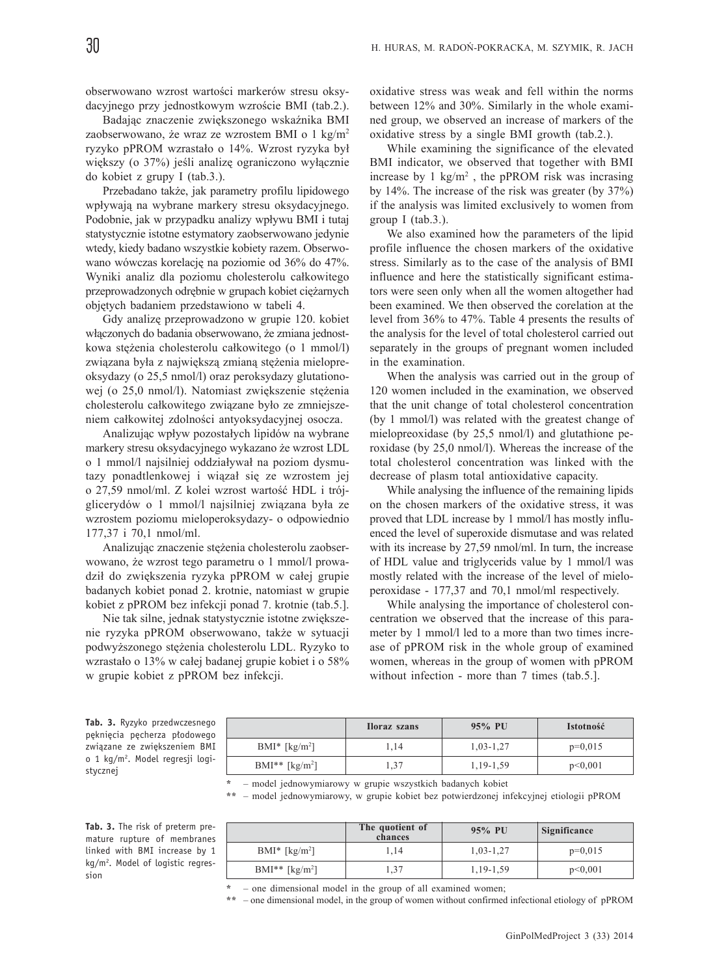obserwowano wzrost wartości markerów stresu oksydacyjnego przy jednostkowym wzroście BMI (tab.2.).

Badając znaczenie zwiększonego wskaźnika BMI zaobserwowano, że wraz ze wzrostem BMI o 1 kg/m<sup>2</sup> ryzyko pPROM wzrastało o 14%. Wzrost ryzyka był większy (o 37%) jeśli analizę ograniczono wyłacznie do kobiet z grupy I (tab.3.).

Przebadano także, jak parametry profilu lipidowego wpływają na wybrane markery stresu oksydacyjnego. Podobnie, jak w przypadku analizy wpływu BMI i tutaj statystycznie istotne estymatory zaobserwowano jedynie wtedy, kiedy badano wszystkie kobiety razem. Obserwowano wówczas korelacjê na poziomie od 36% do 47%. Wyniki analiz dla poziomu cholesterolu całkowitego przeprowadzonych odrębnie w grupach kobiet ciężarnych objêtych badaniem przedstawiono w tabeli 4.

Gdy analizê przeprowadzono w grupie 120. kobiet włączonych do badania obserwowano, że zmiana jednostkowa stężenia cholesterolu całkowitego (o 1 mmol/l) związana była z największą zmianą stężenia mielopreoksydazy (o 25,5 nmol/l) oraz peroksydazy glutationowej (o 25,0 nmol/l). Natomiast zwiększenie stężenia cholesterolu całkowitego związane było ze zmniejszeniem całkowitej zdolności antyoksydacyjnej osocza.

Analizując wpływ pozostałych lipidów na wybrane markery stresu oksydacyjnego wykazano że wzrost LDL o 1 mmol/l najsilniej oddziaływał na poziom dysmutazy ponadtlenkowej i wiązał się ze wzrostem jej o 27,59 nmol/ml. Z kolei wzrost wartość HDL i trójglicerydów o 1 mmol/l najsilniej związana była ze wzrostem poziomu mieloperoksydazy- o odpowiednio 177,37 i 70,1 nmol/ml.

Analizując znaczenie stężenia cholesterolu zaobserwowano, że wzrost tego parametru o 1 mmol/l prowadził do zwiększenia ryzyka pPROM w całej grupie badanych kobiet ponad 2. krotnie, natomiast w grupie kobiet z pPROM bez infekcji ponad 7. krotnie (tab.5.].

Nie tak silne, jednak statystycznie istotne zwiększenie ryzyka pPROM obserwowano, także w sytuacji podwyższonego stężenia cholesterolu LDL. Ryzyko to wzrastało o 13% w całej badanej grupie kobiet i o 58% w grupie kobiet z pPROM bez infekcji.

oxidative stress was weak and fell within the norms between 12% and 30%. Similarly in the whole examined group, we observed an increase of markers of the oxidative stress by a single BMI growth (tab.2.).

While examining the significance of the elevated BMI indicator, we observed that together with BMI increase by  $1 \text{ kg/m}^2$ , the pPROM risk was incrasing by 14%. The increase of the risk was greater (by 37%) if the analysis was limited exclusively to women from group I (tab.3.).

We also examined how the parameters of the lipid profile influence the chosen markers of the oxidative stress. Similarly as to the case of the analysis of BMI influence and here the statistically significant estimators were seen only when all the women altogether had been examined. We then observed the corelation at the level from 36% to 47%. Table 4 presents the results of the analysis for the level of total cholesterol carried out separately in the groups of pregnant women included in the examination.

When the analysis was carried out in the group of 120 women included in the examination, we observed that the unit change of total cholesterol concentration (by 1 mmol/l) was related with the greatest change of mielopreoxidase (by 25,5 nmol/l) and glutathione peroxidase (by 25,0 nmol/l). Whereas the increase of the total cholesterol concentration was linked with the decrease of plasm total antioxidative capacity.

While analysing the influence of the remaining lipids on the chosen markers of the oxidative stress, it was proved that LDL increase by 1 mmol/l has mostly influenced the level of superoxide dismutase and was related with its increase by 27,59 nmol/ml. In turn, the increase of HDL value and triglycerids value by 1 mmol/l was mostly related with the increase of the level of mieloperoxidase - 177,37 and 70,1 nmol/ml respectively.

While analysing the importance of cholesterol concentration we observed that the increase of this parameter by 1 mmol/l led to a more than two times increase of pPROM risk in the whole group of examined women, whereas in the group of women with pPROM without infection - more than 7 times (tab.5.].

**Tab. 3.** Ryzyko przedwczesnego pęknięcia pęcherza płodowego związane ze zwiększeniem BMI o 1 kg/m2 . Model regresji logistycznej

|                                 | <b>Horaz</b> szans | 95% PU      | <b>Istotność</b> |
|---------------------------------|--------------------|-------------|------------------|
| $BMI^*$ [kg/m <sup>2</sup> ]    | .14                | $1,03-1,27$ | $p=0,015$        |
| $BMI^{**}$ [kg/m <sup>2</sup> ] | . 37               | 1,19-1,59   | p<0,001          |

**\*** – model jednowymiarowy w grupie wszystkich badanych kobiet

**\*\*** – model jednowymiarowy, w grupie kobiet bez potwierdzonej infekcyjnej etiologii pPROM

**Tab. 3.** The risk of preterm premature rupture of membranes linked with BMI increase by 1 kg/m<sup>2</sup>. Model of logistic regression

|                              | The quotient of<br>chances | 95% PU      | Significance |
|------------------------------|----------------------------|-------------|--------------|
| $BMI^*$ [kg/m <sup>2</sup> ] | 14                         | $1,03-1,27$ | $p=0,015$    |
| $BMI**$ [kg/m <sup>2</sup> ] | 1,37                       | 1,19-1,59   | p<0,001      |

**<sup>\*</sup>** – one dimensional model in the group of all examined women;

**\*\*** – one dimensional model, in the group of women without confirmed infectional etiology of pPROM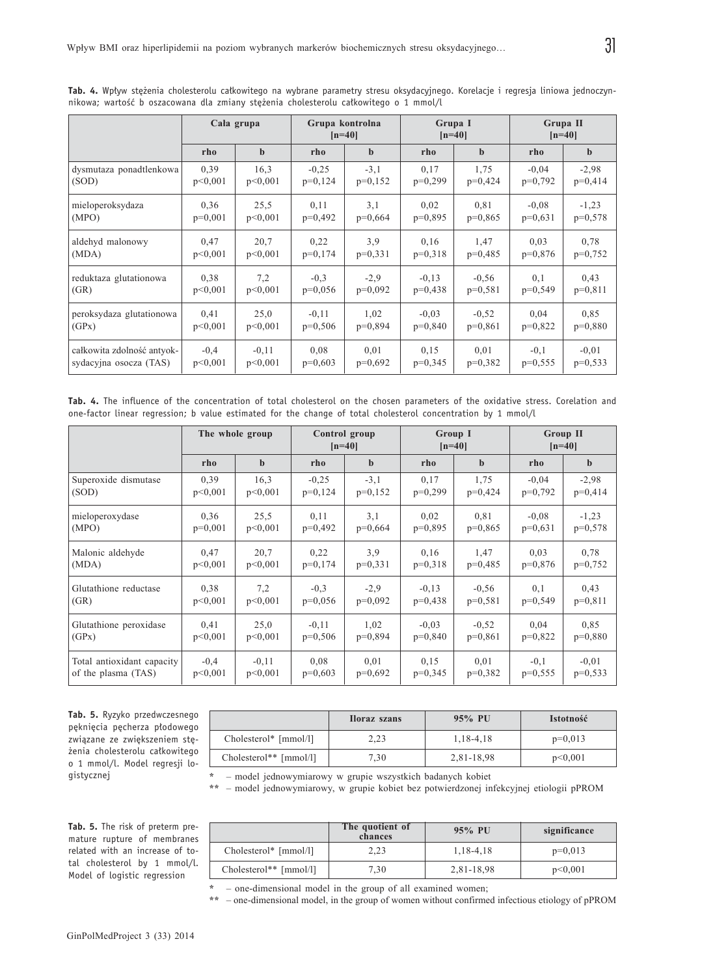|                            | Cala grupa |             | Grupa kontrolna<br>$[n=40]$ |           | Grupa I<br>$[n=40]$ |             | Grupa II<br>$[n=40]$ |             |
|----------------------------|------------|-------------|-----------------------------|-----------|---------------------|-------------|----------------------|-------------|
|                            | rho        | $\mathbf b$ | rho                         | b         | rho                 | $\mathbf b$ | rho                  | $\mathbf b$ |
| dysmutaza ponadtlenkowa    | 0,39       | 16.3        | $-0,25$                     | $-3,1$    | 0,17                | 1,75        | $-0.04$              | $-2,98$     |
| (SOD)                      | p<0.001    | p<0,001     | $p=0,124$                   | $p=0,152$ | $p=0,299$           | $p=0,424$   | $p=0,792$            | $p=0,414$   |
| mieloperoksydaza           | 0,36       | 25,5        | 0,11                        | 3,1       | 0.02                | 0.81        | $-0.08$              | $-1,23$     |
| (MPO)                      | $p=0,001$  | p<0,001     | $p=0,492$                   | $p=0,664$ | $p=0,895$           | $p=0,865$   | $p=0,631$            | $p=0,578$   |
| aldehyd malonowy           | 0,47       | 20,7        | 0,22                        | 3.9       | 0,16                | 1,47        | 0.03                 | 0.78        |
| (MDA)                      | p<0.001    | p<0.001     | $p=0,174$                   | $p=0,331$ | $p=0,318$           | $p=0,485$   | $p=0.876$            | $p=0,752$   |
| reduktaza glutationowa     | 0.38       | 7,2         | $-0.3$                      | $-2,9$    | $-0,13$             | $-0.56$     | 0,1                  | 0,43        |
| (GR)                       | p<0.001    | p<0,001     | $p=0.056$                   | $p=0.092$ | $p=0.438$           | $p=0.581$   | $p=0.549$            | $p=0,811$   |
| peroksydaza glutationowa   | 0,41       | 25,0        | $-0,11$                     | 1,02      | $-0.03$             | $-0.52$     | 0,04                 | 0.85        |
| (GPx)                      | p<0.001    | p<0.001     | $p=0,506$                   | $p=0.894$ | $p=0,840$           | $p=0,861$   | $p=0.822$            | $p=0,880$   |
| całkowita zdolność antyok- | $-0,4$     | $-0,11$     | 0.08                        | 0,01      | 0,15                | 0,01        | $-0,1$               | $-0.01$     |
| sydacyjna osocza (TAS)     | p<0,001    | p<0,001     | $p=0,603$                   | $p=0,692$ | $p=0,345$           | $p=0,382$   | $p=0,555$            | $p=0,533$   |

**Tab. 4.** Wpływ stężenia cholesterolu całkowitego na wybrane parametry stresu oksydacyjnego. Korelacje i regresja liniowa jednoczynnikowa; wartość b oszacowana dla zmiany stężenia cholesterolu całkowitego o 1 mmol/l

**Tab. 4.** The influence of the concentration of total cholesterol on the chosen parameters of the oxidative stress. Corelation and one-factor linear regression; b value estimated for the change of total cholesterol concentration by 1 mmol/l

|                            | The whole group |             | Control group<br>$[n=40]$ |             | Group I<br>$[n=40]$ |             | <b>Group II</b><br>$[n=40]$ |           |
|----------------------------|-----------------|-------------|---------------------------|-------------|---------------------|-------------|-----------------------------|-----------|
|                            | rho             | $\mathbf b$ | rho                       | $\mathbf b$ | rho                 | $\mathbf b$ | rho                         | b         |
| Superoxide dismutase       | 0,39            | 16,3        | $-0,25$                   | $-3,1$      | 0,17                | 1,75        | $-0.04$                     | $-2,98$   |
| (SOD)                      | p<0.001         | p<0,001     | $p=0,124$                 | $p=0,152$   | $p=0,299$           | $p=0,424$   | $p=0,792$                   | $p=0,414$ |
| mieloperoxydase            | 0.36            | 25,5        | 0,11                      | 3,1         | 0.02                | 0.81        | $-0.08$                     | $-1,23$   |
| (MPO)                      | $p=0,001$       | p<0,001     | $p=0,492$                 | $p=0,664$   | $p=0,895$           | $p=0,865$   | $p=0.631$                   | $p=0,578$ |
| Malonic aldehyde           | 0,47            | 20,7        | 0,22                      | 3.9         | 0,16                | 1,47        | 0.03                        | 0.78      |
| (MDA)                      | p<0.001         | p<0.001     | $p=0,174$                 | $p=0,331$   | $p=0,318$           | $p=0,485$   | $p=0,876$                   | $p=0,752$ |
| Glutathione reductase      | 0.38            | 7,2         | $-0.3$                    | $-2,9$      | $-0.13$             | $-0.56$     | 0,1                         | 0,43      |
| (GR)                       | p<0.001         | p<0,001     | $p=0,056$                 | $p=0,092$   | $p=0,438$           | $p=0,581$   | $p=0,549$                   | $p=0,811$ |
| Glutathione peroxidase     | 0,41            | 25,0        | $-0.11$                   | 1,02        | $-0.03$             | $-0.52$     | 0,04                        | 0.85      |
| (GPx)                      | p<0,001         | p<0,001     | $p=0,506$                 | $p=0,894$   | $p=0,840$           | $p=0,861$   | $p=0,822$                   | $p=0,880$ |
| Total antioxidant capacity | $-0.4$          | $-0.11$     | 0.08                      | 0,01        | 0,15                | 0,01        | $-0,1$                      | $-0.01$   |
| of the plasma (TAS)        | p<0,001         | p<0,001     | $p=0,603$                 | $p=0,692$   | $p=0,345$           | $p=0,382$   | $p=0,555$                   | $p=0,533$ |

**Tab. 5.** Ryzyko przedwczesnego pęknięcia pęcherza płodowego związane ze zwiększeniem stężenia cholesterolu całkowitego o 1 mmol/l. Model regresji logistycznej

|                        | <b>Iloraz</b> szans | 95% PU        | <b>Istotność</b> |
|------------------------|---------------------|---------------|------------------|
| Cholesterol* [mmol/l]  | 2,23                | 1, 18 - 4, 18 | $p=0,013$        |
| Cholesterol** [mmol/l] | 7,30                | 2,81-18,98    | p<0,001          |

**\*** – model jednowymiarowy w grupie wszystkich badanych kobiet

**\*\*** – model jednowymiarowy, w grupie kobiet bez potwierdzonej infekcyjnej etiologii pPROM

**Tab. 5.** The risk of preterm premature rupture of membranes related with an increase of total cholesterol by 1 mmol/l. Model of logistic regression

|                        | The quotient of<br>chances | $95\%$ PU     | significance |
|------------------------|----------------------------|---------------|--------------|
| Cholesterol* [mmol/l]  | 2.23                       | 1, 18 - 4, 18 | $p=0,013$    |
| Cholesterol** [mmol/l] | 7.30                       | 2,81-18,98    | p<0,001      |

**\*** – one-dimensional model in the group of all examined women;

**\*\*** – one-dimensional model, in the group of women without confirmed infectious etiology of pPROM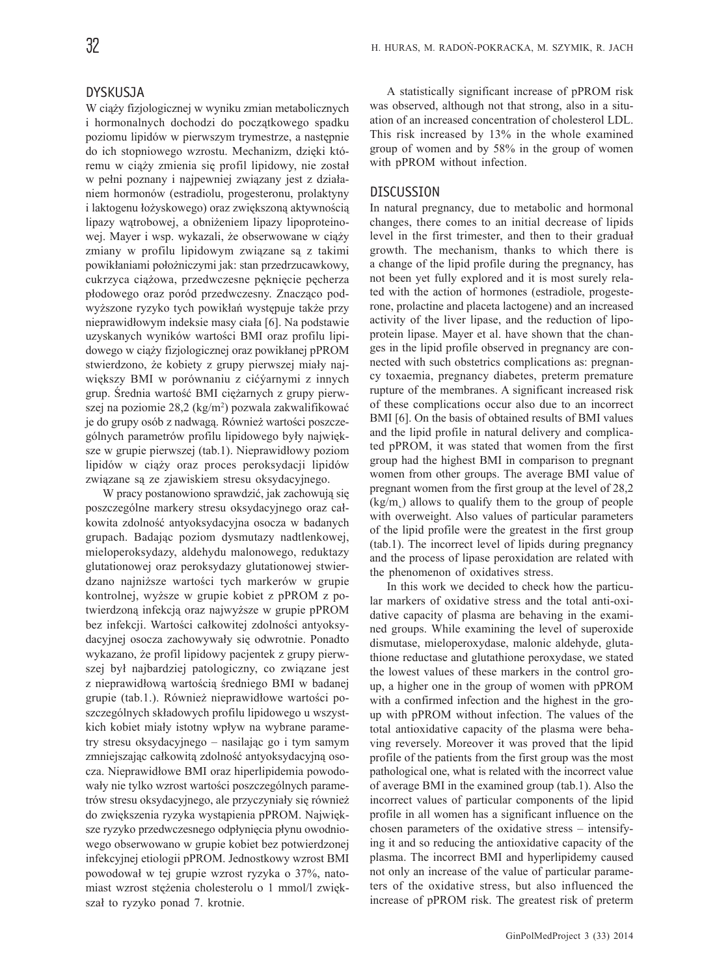# DYSKUSJA

W ciąży fizjologicznej w wyniku zmian metabolicznych i hormonalnych dochodzi do początkowego spadku poziomu lipidów w pierwszym trymestrze, a następnie do ich stopniowego wzrostu. Mechanizm, dzięki któremu w ciąży zmienia się profil lipidowy, nie został w pełni poznany i najpewniej związany jest z działaniem hormonów (estradiolu, progesteronu, prolaktyny i laktogenu łożyskowego) oraz zwiększoną aktywnością lipazy wątrobowej, a obniżeniem lipazy lipoproteinowej. Mayer i wsp. wykazali, że obserwowane w ciąży zmiany w profilu lipidowym związane są z takimi powikłaniami położniczymi jak: stan przedrzucawkowy, cukrzyca ciążowa, przedwczesne pęknięcie pęcherza płodowego oraz poród przedwczesny. Znacząco podwyższone ryzyko tych powikłań występuje także przy nieprawidłowym indeksie masy ciała [6]. Na podstawie uzyskanych wyników wartości BMI oraz profilu lipidowego w ciąży fizjologicznej oraz powikłanej pPROM stwierdzono, że kobiety z grupy pierwszej miały największy BMI w porównaniu z cićýarnymi z innych grup. Średnia wartość BMI ciężarnych z grupy pierwszej na poziomie 28,2 (kg/m<sup>2</sup>) pozwala zakwalifikować je do grupy osób z nadwagą. Również wartości poszczególnych parametrów profilu lipidowego były największe w grupie pierwszej (tab.1). Nieprawidłowy poziom lipidów w ciąży oraz proces peroksydacji lipidów związane są ze zjawiskiem stresu oksydacyjnego.

W pracy postanowiono sprawdzić, jak zachowują się poszczególne markery stresu oksydacyjnego oraz całkowita zdolność antyoksydacyjna osocza w badanych grupach. Badając poziom dysmutazy nadtlenkowej, mieloperoksydazy, aldehydu malonowego, reduktazy glutationowej oraz peroksydazy glutationowej stwierdzano najniższe wartości tych markerów w grupie kontrolnej, wy¿sze w grupie kobiet z pPROM z potwierdzoną infekcją oraz najwyższe w grupie pPROM bez infekcji. Wartości całkowitej zdolności antyoksydacyjnej osocza zachowywały się odwrotnie. Ponadto wykazano, że profil lipidowy pacjentek z grupy pierwszej był najbardziej patologiczny, co związane jest z nieprawidłową wartością średniego BMI w badanej grupie (tab.1.). Również nieprawidłowe wartości poszczególnych składowych profilu lipidowego u wszystkich kobiet miały istotny wpływ na wybrane parametry stresu oksydacyjnego – nasilając go i tym samym zmniejszając całkowitą zdolność antyoksydacyjną osocza. Nieprawidłowe BMI oraz hiperlipidemia powodowały nie tylko wzrost wartości poszczególnych parametrów stresu oksydacyjnego, ale przyczyniały się również do zwiększenia ryzyka wystąpienia pPROM. Największe ryzyko przedwczesnego odpłynięcia płynu owodniowego obserwowano w grupie kobiet bez potwierdzonej infekcyjnej etiologii pPROM. Jednostkowy wzrost BMI powodowa³ w tej grupie wzrost ryzyka o 37%, natomiast wzrost stężenia cholesterolu o 1 mmol/l zwiększał to ryzyko ponad 7. krotnie.

A statistically significant increase of pPROM risk was observed, although not that strong, also in a situation of an increased concentration of cholesterol LDL. This risk increased by 13% in the whole examined group of women and by 58% in the group of women with pPROM without infection.

# DISCUSSION

In natural pregnancy, due to metabolic and hormonal changes, there comes to an initial decrease of lipids level in the first trimester, and then to their gradual growth. The mechanism, thanks to which there is a change of the lipid profile during the pregnancy, has not been yet fully explored and it is most surely related with the action of hormones (estradiole, progesterone, prolactine and placeta lactogene) and an increased activity of the liver lipase, and the reduction of lipoprotein lipase. Mayer et al. have shown that the changes in the lipid profile observed in pregnancy are connected with such obstetrics complications as: pregnancy toxaemia, pregnancy diabetes, preterm premature rupture of the membranes. A significant increased risk of these complications occur also due to an incorrect BMI [6]. On the basis of obtained results of BMI values and the lipid profile in natural delivery and complicated pPROM, it was stated that women from the first group had the highest BMI in comparison to pregnant women from other groups. The average BMI value of pregnant women from the first group at the level of 28,2  $(kg/m)$  allows to qualify them to the group of people with overweight. Also values of particular parameters of the lipid profile were the greatest in the first group (tab.1). The incorrect level of lipids during pregnancy and the process of lipase peroxidation are related with the phenomenon of oxidatives stress.

In this work we decided to check how the particular markers of oxidative stress and the total anti-oxidative capacity of plasma are behaving in the examined groups. While examining the level of superoxide dismutase, mieloperoxydase, malonic aldehyde, glutathione reductase and glutathione peroxydase, we stated the lowest values of these markers in the control group, a higher one in the group of women with pPROM with a confirmed infection and the highest in the group with pPROM without infection. The values of the total antioxidative capacity of the plasma were behaving reversely. Moreover it was proved that the lipid profile of the patients from the first group was the most pathological one, what is related with the incorrect value of average BMI in the examined group (tab.1). Also the incorrect values of particular components of the lipid profile in all women has a significant influence on the chosen parameters of the oxidative stress – intensifying it and so reducing the antioxidative capacity of the plasma. The incorrect BMI and hyperlipidemy caused not only an increase of the value of particular parameters of the oxidative stress, but also influenced the increase of pPROM risk. The greatest risk of preterm